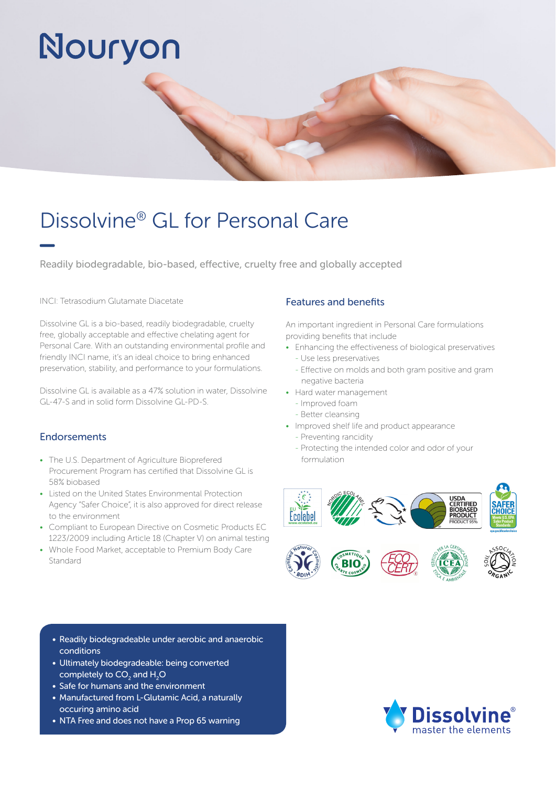# Nouryon

### Dissolvine® GL for Personal Care

Readily biodegradable, bio-based, effective, cruelty free and globally accepted

#### INCI: Tetrasodium Glutamate Diacetate

Dissolvine GL is a bio-based, readily biodegradable, cruelty free, globally acceptable and effective chelating agent for Personal Care. With an outstanding environmental profile and friendly INCI name, it's an ideal choice to bring enhanced preservation, stability, and performance to your formulations.

Dissolvine GL is available as a 47% solution in water, Dissolvine GL-47-S and in solid form Dissolvine GL-PD-S.

#### Endorsements

- The U.S. Department of Agriculture Bioprefered Procurement Program has certified that Dissolvine GL is 58% biobased
- Listed on the United States Environmental Protection Agency "Safer Choice", it is also approved for direct release to the environment
- Compliant to European Directive on Cosmetic Products EC 1223/2009 including Article 18 (Chapter V) on animal testing
- Whole Food Market, acceptable to Premium Body Care Standard

#### Features and benefits

An important ingredient in Personal Care formulations providing benefits that include

- Enhancing the effectiveness of biological preservatives
	- Use less preservatives
	- Effective on molds and both gram positive and gram negative bacteria
- Hard water management
	- Improved foam
	- Better cleansing
- Improved shelf life and product appearance
	- Preventing rancidity
	- Protecting the intended color and odor of your formulation





- Readily biodegradeable under aerobic and anaerobic conditions
- Ultimately biodegradeable: being converted completely to CO $_{_2}$  and H $_{_2}$ O
- Safe for humans and the environment
- Manufactured from L-Glutamic Acid, a naturally occuring amino acid
- NTA Free and does not have a Prop 65 warning